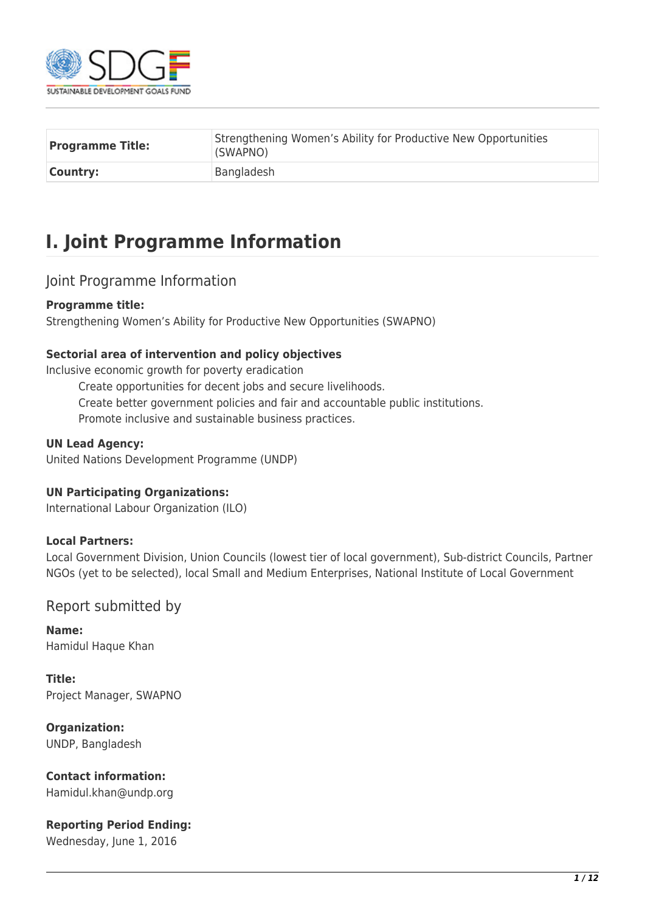

| <b>Programme Title:</b> | Strengthening Women's Ability for Productive New Opportunities<br>(SWAPNO) |
|-------------------------|----------------------------------------------------------------------------|
| <b>Country:</b>         | Bangladesh                                                                 |

# **I. Joint Programme Information**

### Joint Programme Information

### **Programme title:**

Strengthening Women's Ability for Productive New Opportunities (SWAPNO)

### **Sectorial area of intervention and policy objectives**

Inclusive economic growth for poverty eradication

Create opportunities for decent jobs and secure livelihoods. Create better government policies and fair and accountable public institutions. Promote inclusive and sustainable business practices.

### **UN Lead Agency:**

United Nations Development Programme (UNDP)

### **UN Participating Organizations:**

International Labour Organization (ILO)

### **Local Partners:**

Local Government Division, Union Councils (lowest tier of local government), Sub-district Councils, Partner NGOs (yet to be selected), local Small and Medium Enterprises, National Institute of Local Government

### Report submitted by

**Name:**  Hamidul Haque Khan

**Title:**  Project Manager, SWAPNO

**Organization:**  UNDP, Bangladesh

### **Contact information:**

Hamidul.khan@undp.org

### **Reporting Period Ending:**

Wednesday, June 1, 2016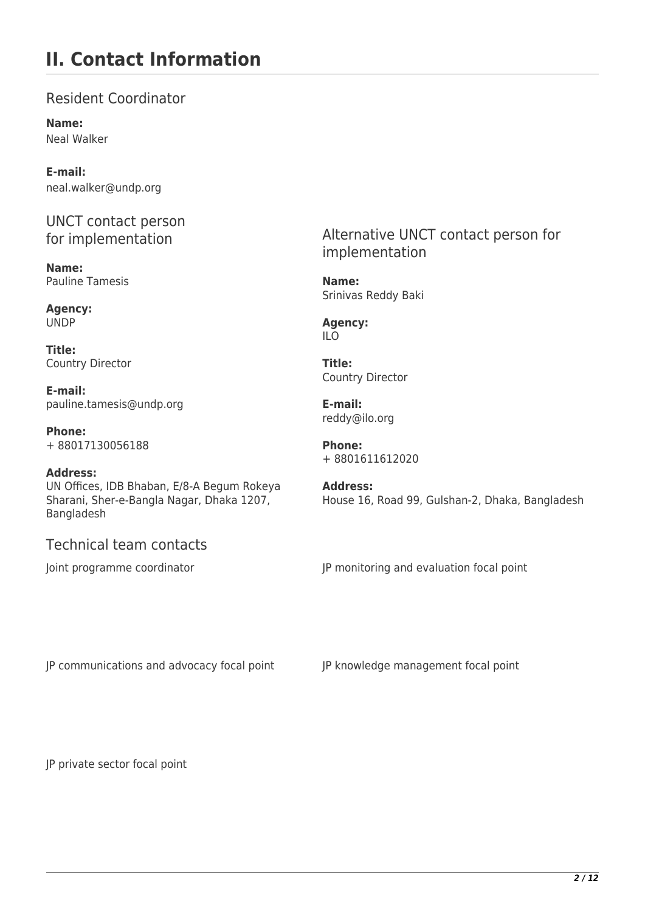## **II. Contact Information**

Resident Coordinator

**Name:**  Neal Walker

**E-mail:**  neal.walker@undp.org

UNCT contact person for implementation

**Name:**  Pauline Tamesis

**Agency:**  UNDP

**Title:**  Country Director

**E-mail:**  pauline.tamesis@undp.org

**Phone:**  + 88017130056188

#### **Address:**

UN Offices, IDB Bhaban, E/8-A Begum Rokeya Sharani, Sher-e-Bangla Nagar, Dhaka 1207, Bangladesh

### Technical team contacts

Alternative UNCT contact person for implementation

**Name:**  Srinivas Reddy Baki

**Agency:**  ILO

**Title:**  Country Director

**E-mail:**  reddy@ilo.org

**Phone:**  + 8801611612020

**Address:**  House 16, Road 99, Gulshan-2, Dhaka, Bangladesh

Joint programme coordinator **JP** monitoring and evaluation focal point

JP communications and advocacy focal point JP knowledge management focal point

JP private sector focal point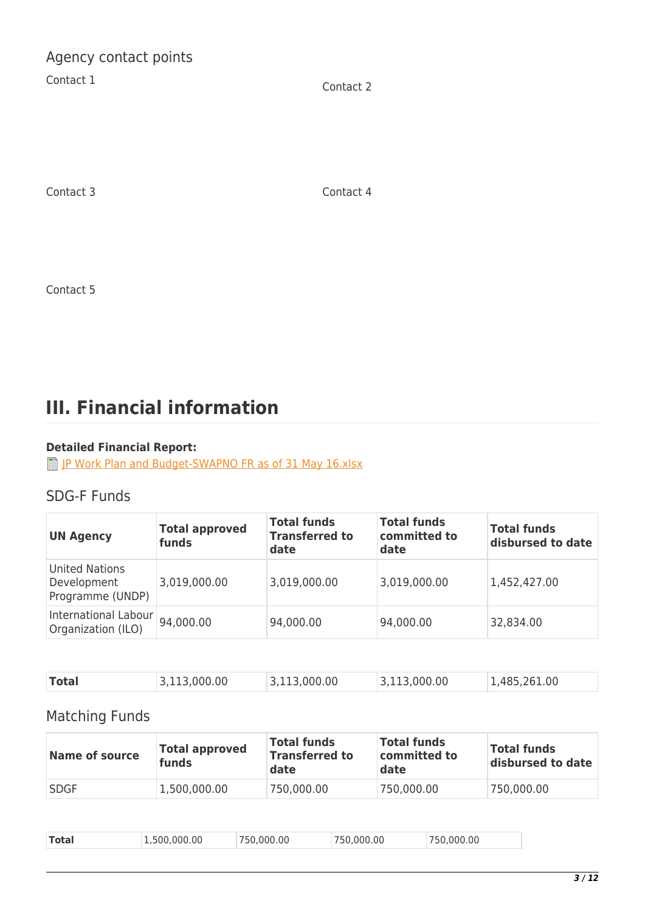Agency contact points

Contact 1 Contact 2

Contact 3 Contact 4

Contact 5

# **III. Financial information**

### **Detailed Financial Report:**

**[JP Work Plan and Budget-SWAPNO FR as of 31 May 16.xlsx](http://proposals.sdgfund.org/system/files/report-attachments/JP%20Work%20Plan%20and%20Budget-SWAPNO%20FR%20as%20of%2031%20May%2016.xlsx)** 

## SDG-F Funds

| <b>UN Agency</b>                                         | <b>Total approved</b><br>funds | <b>Total funds</b><br><b>Transferred to</b><br>date | <b>Total funds</b><br>committed to<br>date | <b>Total funds</b><br>disbursed to date |
|----------------------------------------------------------|--------------------------------|-----------------------------------------------------|--------------------------------------------|-----------------------------------------|
| <b>United Nations</b><br>Development<br>Programme (UNDP) | 3,019,000.00                   | 3,019,000.00                                        | 3,019,000.00                               | 1,452,427.00                            |
| International Labour<br>Organization (ILO)               | 94,000.00                      | 94,000.00                                           | 94,000.00                                  | 32,834.00                               |

| Total<br>1.485.261.00<br>3.113.000.00<br>.000.00<br>00.00.00. |  |
|---------------------------------------------------------------|--|
|---------------------------------------------------------------|--|

## Matching Funds

| Name of source | <b>Total approved</b><br>funds | <b>Total funds</b><br><b>Transferred to</b><br>date | <b>Total funds</b><br>committed to<br>date | <b>Total funds</b><br>disbursed to date |
|----------------|--------------------------------|-----------------------------------------------------|--------------------------------------------|-----------------------------------------|
| <b>SDGF</b>    | 1,500,000.00                   | 750,000.00                                          | 750,000.00                                 | 750,000.00                              |

| <b>Total</b><br>.000.00<br>750.000.00<br>.500.000.00<br>.000.00<br>750.<br>ה הי |
|---------------------------------------------------------------------------------|
|---------------------------------------------------------------------------------|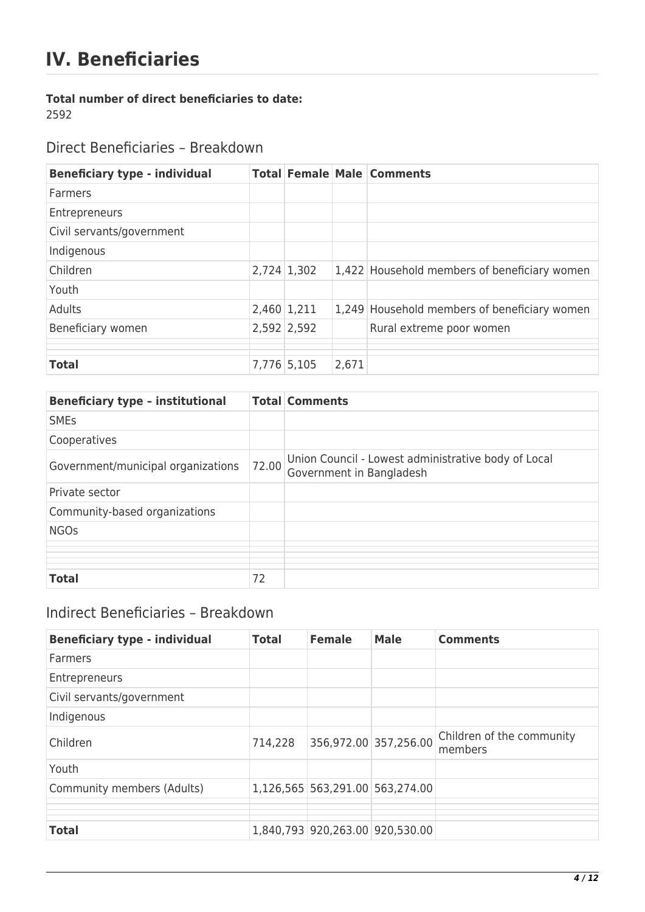# **IV. Beneficiaries**

### **Total number of direct beneficiaries to date:**

2592

Direct Beneficiaries – Breakdown

| <b>Beneficiary type - individual</b> |               |       | <b>Total Female Male Comments</b>            |
|--------------------------------------|---------------|-------|----------------------------------------------|
| <b>Farmers</b>                       |               |       |                                              |
| Entrepreneurs                        |               |       |                                              |
| Civil servants/government            |               |       |                                              |
| Indigenous                           |               |       |                                              |
| Children                             | $2,724$ 1,302 |       | 1,422 Household members of beneficiary women |
| Youth                                |               |       |                                              |
| Adults                               | $2,460$ 1,211 |       | 1,249 Household members of beneficiary women |
| Beneficiary women                    | 2,592 2,592   |       | Rural extreme poor women                     |
|                                      |               |       |                                              |
| <b>Total</b>                         | 7,776 5,105   | 2,671 |                                              |

| <b>Beneficiary type - institutional</b> |       | <b>Total Comments</b>                                                           |
|-----------------------------------------|-------|---------------------------------------------------------------------------------|
| <b>SMEs</b>                             |       |                                                                                 |
| Cooperatives                            |       |                                                                                 |
| Government/municipal organizations      | 72.00 | Union Council - Lowest administrative body of Local<br>Government in Bangladesh |
| Private sector                          |       |                                                                                 |
| Community-based organizations           |       |                                                                                 |
| <b>NGOs</b>                             |       |                                                                                 |
|                                         |       |                                                                                 |
|                                         |       |                                                                                 |
| <b>Total</b>                            | 72    |                                                                                 |

## Indirect Beneficiaries – Breakdown

| <b>Beneficiary type - individual</b> | <b>Total</b> | <b>Female</b>                   | <b>Male</b>           | <b>Comments</b>                      |
|--------------------------------------|--------------|---------------------------------|-----------------------|--------------------------------------|
| Farmers                              |              |                                 |                       |                                      |
| Entrepreneurs                        |              |                                 |                       |                                      |
| Civil servants/government            |              |                                 |                       |                                      |
| Indigenous                           |              |                                 |                       |                                      |
| Children                             | 714,228      |                                 | 356,972.00 357,256.00 | Children of the community<br>members |
| Youth                                |              |                                 |                       |                                      |
| Community members (Adults)           |              | 1,126,565 563,291.00 563,274.00 |                       |                                      |
|                                      |              |                                 |                       |                                      |
| <b>Total</b>                         |              | 1,840,793 920,263.00 920,530.00 |                       |                                      |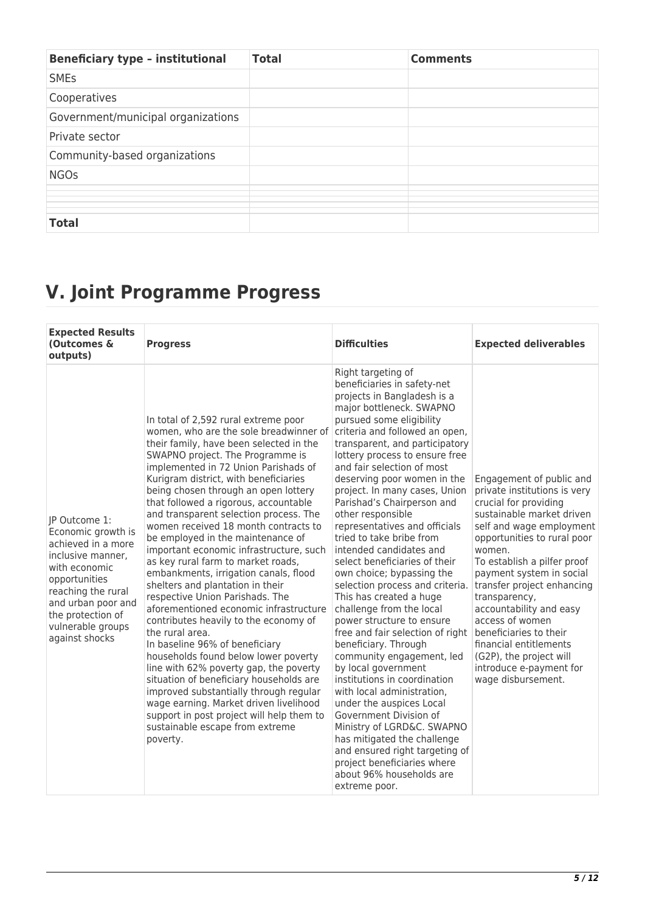| <b>Beneficiary type - institutional</b> | <b>Total</b> | <b>Comments</b> |
|-----------------------------------------|--------------|-----------------|
| <b>SMEs</b>                             |              |                 |
| Cooperatives                            |              |                 |
| Government/municipal organizations      |              |                 |
| Private sector                          |              |                 |
| Community-based organizations           |              |                 |
| <b>NGOs</b>                             |              |                 |
|                                         |              |                 |
|                                         |              |                 |
|                                         |              |                 |
|                                         |              |                 |
| <b>Total</b>                            |              |                 |

# **V. Joint Programme Progress**

| <b>Expected Results</b><br>(Outcomes &<br>outputs)                                                                                                                                                                       | <b>Progress</b>                                                                                                                                                                                                                                                                                                                                                                                                                                                                                                                                                                                                                                                                                                                                                                                                                                                                                                                                                                                                                                                                                              | <b>Difficulties</b>                                                                                                                                                                                                                                                                                                                                                                                                                                                                                                                                                                                                                                                                                                                                                                                                                                                                                                                                                                                                                                                                         | <b>Expected deliverables</b>                                                                                                                                                                                                                                                                                                                                                                                                                                                |
|--------------------------------------------------------------------------------------------------------------------------------------------------------------------------------------------------------------------------|--------------------------------------------------------------------------------------------------------------------------------------------------------------------------------------------------------------------------------------------------------------------------------------------------------------------------------------------------------------------------------------------------------------------------------------------------------------------------------------------------------------------------------------------------------------------------------------------------------------------------------------------------------------------------------------------------------------------------------------------------------------------------------------------------------------------------------------------------------------------------------------------------------------------------------------------------------------------------------------------------------------------------------------------------------------------------------------------------------------|---------------------------------------------------------------------------------------------------------------------------------------------------------------------------------------------------------------------------------------------------------------------------------------------------------------------------------------------------------------------------------------------------------------------------------------------------------------------------------------------------------------------------------------------------------------------------------------------------------------------------------------------------------------------------------------------------------------------------------------------------------------------------------------------------------------------------------------------------------------------------------------------------------------------------------------------------------------------------------------------------------------------------------------------------------------------------------------------|-----------------------------------------------------------------------------------------------------------------------------------------------------------------------------------------------------------------------------------------------------------------------------------------------------------------------------------------------------------------------------------------------------------------------------------------------------------------------------|
| IP Outcome 1:<br>Economic growth is<br>achieved in a more<br>inclusive manner.<br>with economic<br>opportunities<br>reaching the rural<br>and urban poor and<br>the protection of<br>vulnerable groups<br>against shocks | In total of 2,592 rural extreme poor<br>women, who are the sole breadwinner of<br>their family, have been selected in the<br>SWAPNO project. The Programme is<br>implemented in 72 Union Parishads of<br>Kurigram district, with beneficiaries<br>being chosen through an open lottery<br>that followed a rigorous, accountable<br>and transparent selection process. The<br>women received 18 month contracts to<br>be employed in the maintenance of<br>important economic infrastructure, such<br>as key rural farm to market roads,<br>embankments, irrigation canals, flood<br>shelters and plantation in their<br>respective Union Parishads. The<br>aforementioned economic infrastructure<br>contributes heavily to the economy of<br>the rural area.<br>In baseline 96% of beneficiary<br>households found below lower poverty<br>line with 62% poverty gap, the poverty<br>situation of beneficiary households are<br>improved substantially through regular<br>wage earning. Market driven livelihood<br>support in post project will help them to<br>sustainable escape from extreme<br>poverty. | Right targeting of<br>beneficiaries in safety-net<br>projects in Bangladesh is a<br>major bottleneck. SWAPNO<br>pursued some eligibility<br>criteria and followed an open,<br>transparent, and participatory<br>lottery process to ensure free<br>and fair selection of most<br>deserving poor women in the<br>project. In many cases, Union<br>Parishad's Chairperson and<br>other responsible<br>representatives and officials<br>tried to take bribe from<br>intended candidates and<br>select beneficiaries of their<br>own choice; bypassing the<br>selection process and criteria.<br>This has created a huge<br>challenge from the local<br>power structure to ensure<br>free and fair selection of right<br>beneficiary. Through<br>community engagement, led<br>by local government<br>institutions in coordination<br>with local administration,<br>under the auspices Local<br>Government Division of<br>Ministry of LGRD&C. SWAPNO<br>has mitigated the challenge<br>and ensured right targeting of<br>project beneficiaries where<br>about 96% households are<br>extreme poor. | Engagement of public and<br>private institutions is very<br>crucial for providing<br>sustainable market driven<br>self and wage employment<br>opportunities to rural poor<br>women.<br>To establish a pilfer proof<br>payment system in social<br>transfer project enhancing<br>transparency,<br>accountability and easy<br>access of women<br>beneficiaries to their<br>financial entitlements<br>(G2P), the project will<br>introduce e-payment for<br>wage disbursement. |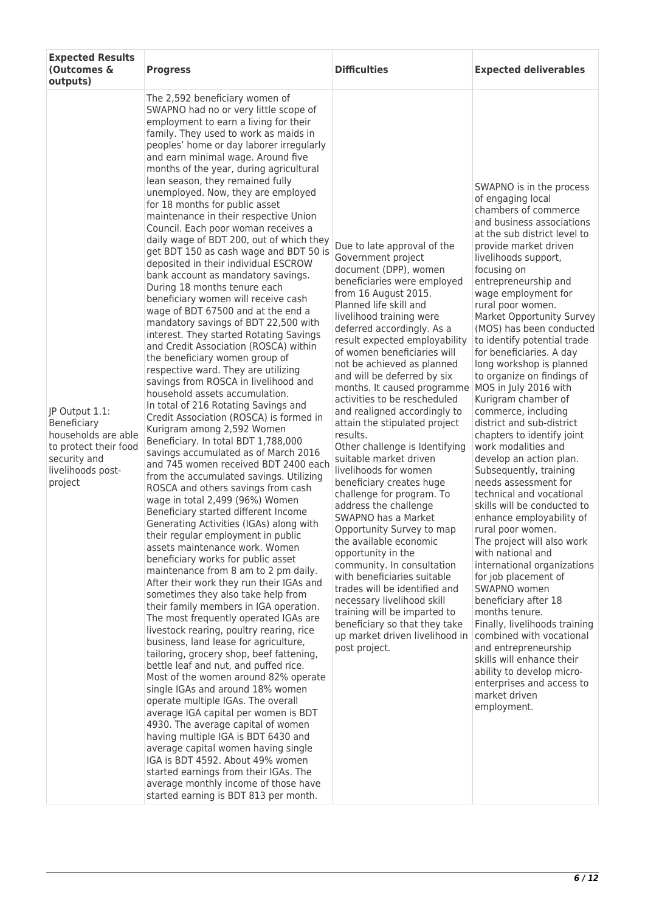| <b>Expected Results</b><br>(Outcomes &<br>outputs)                                                                            | <b>Progress</b>                                                                                                                                                                                                                                                                                                                                                                                                                                                                                                                                                                                                                                                                                                                                                                                                                                                                                                                                                                                                                                                                                                                                                                                                                                                                                                                                                                                                                                                                                                                                                                                                                                                                                                                                                                                                                                                                                                                                                                                                                                                                                                                                                                                                                                                                                                                                                                                                                                    | <b>Difficulties</b>                                                                                                                                                                                                                                                                                                                                                                                                                                                                                                                                                                                                                                                                                                                                                                                                                                                                                                                                                                                                       | <b>Expected deliverables</b>                                                                                                                                                                                                                                                                                                                                                                                                                                                                                                                                                                                                                                                                                                                                                                                                                                                                                                                                                                                                                                                                                                                                                           |
|-------------------------------------------------------------------------------------------------------------------------------|----------------------------------------------------------------------------------------------------------------------------------------------------------------------------------------------------------------------------------------------------------------------------------------------------------------------------------------------------------------------------------------------------------------------------------------------------------------------------------------------------------------------------------------------------------------------------------------------------------------------------------------------------------------------------------------------------------------------------------------------------------------------------------------------------------------------------------------------------------------------------------------------------------------------------------------------------------------------------------------------------------------------------------------------------------------------------------------------------------------------------------------------------------------------------------------------------------------------------------------------------------------------------------------------------------------------------------------------------------------------------------------------------------------------------------------------------------------------------------------------------------------------------------------------------------------------------------------------------------------------------------------------------------------------------------------------------------------------------------------------------------------------------------------------------------------------------------------------------------------------------------------------------------------------------------------------------------------------------------------------------------------------------------------------------------------------------------------------------------------------------------------------------------------------------------------------------------------------------------------------------------------------------------------------------------------------------------------------------------------------------------------------------------------------------------------------------|---------------------------------------------------------------------------------------------------------------------------------------------------------------------------------------------------------------------------------------------------------------------------------------------------------------------------------------------------------------------------------------------------------------------------------------------------------------------------------------------------------------------------------------------------------------------------------------------------------------------------------------------------------------------------------------------------------------------------------------------------------------------------------------------------------------------------------------------------------------------------------------------------------------------------------------------------------------------------------------------------------------------------|----------------------------------------------------------------------------------------------------------------------------------------------------------------------------------------------------------------------------------------------------------------------------------------------------------------------------------------------------------------------------------------------------------------------------------------------------------------------------------------------------------------------------------------------------------------------------------------------------------------------------------------------------------------------------------------------------------------------------------------------------------------------------------------------------------------------------------------------------------------------------------------------------------------------------------------------------------------------------------------------------------------------------------------------------------------------------------------------------------------------------------------------------------------------------------------|
| JP Output 1.1:<br>Beneficiary<br>households are able<br>to protect their food<br>security and<br>livelihoods post-<br>project | The 2,592 beneficiary women of<br>SWAPNO had no or very little scope of<br>employment to earn a living for their<br>family. They used to work as maids in<br>peoples' home or day laborer irregularly<br>and earn minimal wage. Around five<br>months of the year, during agricultural<br>lean season, they remained fully<br>unemployed. Now, they are employed<br>for 18 months for public asset<br>maintenance in their respective Union<br>Council. Each poor woman receives a<br>daily wage of BDT 200, out of which they<br>get BDT 150 as cash wage and BDT 50 is<br>deposited in their individual ESCROW<br>bank account as mandatory savings.<br>During 18 months tenure each<br>beneficiary women will receive cash<br>wage of BDT 67500 and at the end a<br>mandatory savings of BDT 22,500 with<br>interest. They started Rotating Savings<br>and Credit Association (ROSCA) within<br>the beneficiary women group of<br>respective ward. They are utilizing<br>savings from ROSCA in livelihood and<br>household assets accumulation.<br>In total of 216 Rotating Savings and<br>Credit Association (ROSCA) is formed in<br>Kurigram among 2,592 Women<br>Beneficiary. In total BDT 1,788,000<br>savings accumulated as of March 2016<br>and 745 women received BDT 2400 each<br>from the accumulated savings. Utilizing<br>ROSCA and others savings from cash<br>wage in total 2,499 (96%) Women<br>Beneficiary started different Income<br>Generating Activities (IGAs) along with<br>their regular employment in public<br>assets maintenance work. Women<br>beneficiary works for public asset<br>maintenance from 8 am to 2 pm daily.<br>After their work they run their IGAs and<br>sometimes they also take help from<br>their family members in IGA operation.<br>The most frequently operated IGAs are<br>livestock rearing, poultry rearing, rice<br>business, land lease for agriculture,<br>tailoring, grocery shop, beef fattening,<br>bettle leaf and nut, and puffed rice.<br>Most of the women around 82% operate<br>single IGAs and around 18% women<br>operate multiple IGAs. The overall<br>average IGA capital per women is BDT<br>4930. The average capital of women<br>having multiple IGA is BDT 6430 and<br>average capital women having single<br>IGA is BDT 4592. About 49% women<br>started earnings from their IGAs. The<br>average monthly income of those have<br>started earning is BDT 813 per month. | Due to late approval of the<br>Government project<br>document (DPP), women<br>beneficiaries were employed<br>from 16 August 2015.<br>Planned life skill and<br>livelihood training were<br>deferred accordingly. As a<br>result expected employability<br>of women beneficiaries will<br>not be achieved as planned<br>and will be deferred by six<br>months. It caused programme<br>activities to be rescheduled<br>and realigned accordingly to<br>attain the stipulated project<br>results.<br>Other challenge is Identifying<br>suitable market driven<br>livelihoods for women<br>beneficiary creates huge<br>challenge for program. To<br>address the challenge<br>SWAPNO has a Market<br>Opportunity Survey to map<br>the available economic<br>opportunity in the<br>community. In consultation<br>with beneficiaries suitable<br>trades will be identified and<br>necessary livelihood skill<br>training will be imparted to<br>beneficiary so that they take<br>up market driven livelihood in<br>post project. | SWAPNO is in the process<br>of engaging local<br>chambers of commerce<br>and business associations<br>at the sub district level to<br>provide market driven<br>livelihoods support,<br>focusing on<br>entrepreneurship and<br>wage employment for<br>rural poor women.<br>Market Opportunity Survey<br>(MOS) has been conducted<br>to identify potential trade<br>for beneficiaries. A day<br>long workshop is planned<br>to organize on findings of<br>MOS in July 2016 with<br>Kurigram chamber of<br>commerce, including<br>district and sub-district<br>chapters to identify joint<br>work modalities and<br>develop an action plan.<br>Subsequently, training<br>needs assessment for<br>technical and vocational<br>skills will be conducted to<br>enhance employability of<br>rural poor women.<br>The project will also work<br>with national and<br>international organizations<br>for job placement of<br>SWAPNO women<br>beneficiary after 18<br>months tenure.<br>Finally, livelihoods training<br>combined with vocational<br>and entrepreneurship<br>skills will enhance their<br>ability to develop micro-<br>enterprises and access to<br>market driven<br>employment. |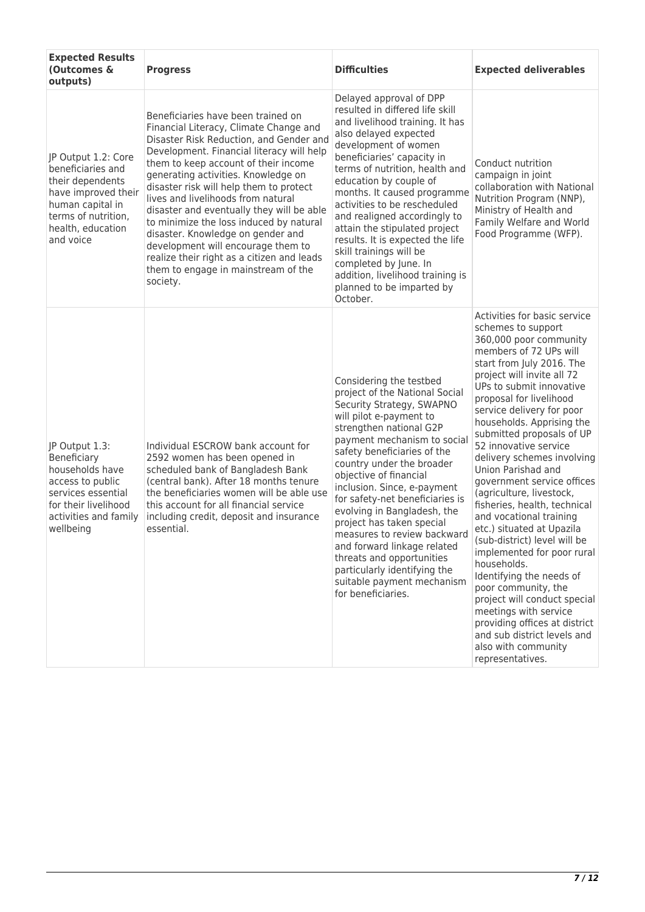| <b>Expected Results</b><br>(Outcomes &<br>outputs)                                                                                                               | <b>Progress</b>                                                                                                                                                                                                                                                                                                                                                                                                                                                                                                                                                                                          | <b>Difficulties</b>                                                                                                                                                                                                                                                                                                                                                                                                                                                                                                                                                            | <b>Expected deliverables</b>                                                                                                                                                                                                                                                                                                                                                                                                                                                                                                                                                                                                                                                                                                                                                                                                                       |
|------------------------------------------------------------------------------------------------------------------------------------------------------------------|----------------------------------------------------------------------------------------------------------------------------------------------------------------------------------------------------------------------------------------------------------------------------------------------------------------------------------------------------------------------------------------------------------------------------------------------------------------------------------------------------------------------------------------------------------------------------------------------------------|--------------------------------------------------------------------------------------------------------------------------------------------------------------------------------------------------------------------------------------------------------------------------------------------------------------------------------------------------------------------------------------------------------------------------------------------------------------------------------------------------------------------------------------------------------------------------------|----------------------------------------------------------------------------------------------------------------------------------------------------------------------------------------------------------------------------------------------------------------------------------------------------------------------------------------------------------------------------------------------------------------------------------------------------------------------------------------------------------------------------------------------------------------------------------------------------------------------------------------------------------------------------------------------------------------------------------------------------------------------------------------------------------------------------------------------------|
| JP Output 1.2: Core<br>beneficiaries and<br>their dependents<br>have improved their<br>human capital in<br>terms of nutrition,<br>health, education<br>and voice | Beneficiaries have been trained on<br>Financial Literacy, Climate Change and<br>Disaster Risk Reduction, and Gender and<br>Development. Financial literacy will help<br>them to keep account of their income<br>generating activities. Knowledge on<br>disaster risk will help them to protect<br>lives and livelihoods from natural<br>disaster and eventually they will be able<br>to minimize the loss induced by natural<br>disaster. Knowledge on gender and<br>development will encourage them to<br>realize their right as a citizen and leads<br>them to engage in mainstream of the<br>society. | Delayed approval of DPP<br>resulted in differed life skill<br>and livelihood training. It has<br>also delayed expected<br>development of women<br>beneficiaries' capacity in<br>terms of nutrition, health and<br>education by couple of<br>months. It caused programme<br>activities to be rescheduled<br>and realigned accordingly to<br>attain the stipulated project<br>results. It is expected the life<br>skill trainings will be<br>completed by June. In<br>addition, livelihood training is<br>planned to be imparted by<br>October.                                  | Conduct nutrition<br>campaign in joint<br>collaboration with National<br>Nutrition Program (NNP),<br>Ministry of Health and<br>Family Welfare and World<br>Food Programme (WFP).                                                                                                                                                                                                                                                                                                                                                                                                                                                                                                                                                                                                                                                                   |
| JP Output 1.3:<br>Beneficiary<br>households have<br>access to public<br>services essential<br>for their livelihood<br>activities and family<br>wellbeing         | Individual ESCROW bank account for<br>2592 women has been opened in<br>scheduled bank of Bangladesh Bank<br>(central bank). After 18 months tenure<br>the beneficiaries women will be able use<br>this account for all financial service<br>including credit, deposit and insurance<br>essential.                                                                                                                                                                                                                                                                                                        | Considering the testbed<br>project of the National Social<br>Security Strategy, SWAPNO<br>will pilot e-payment to<br>strengthen national G2P<br>payment mechanism to social<br>safety beneficiaries of the<br>country under the broader<br>objective of financial<br>inclusion. Since, e-payment<br>for safety-net beneficiaries is<br>evolving in Bangladesh, the<br>project has taken special<br>measures to review backward<br>and forward linkage related<br>threats and opportunities<br>particularly identifying the<br>suitable payment mechanism<br>for beneficiaries. | Activities for basic service<br>schemes to support<br>360,000 poor community<br>members of 72 UPs will<br>start from July 2016. The<br>project will invite all 72<br>UPs to submit innovative<br>proposal for livelihood<br>service delivery for poor<br>households. Apprising the<br>submitted proposals of UP<br>52 innovative service<br>delivery schemes involving<br>Union Parishad and<br>government service offices<br>(agriculture, livestock,<br>fisheries, health, technical<br>and vocational training<br>etc.) situated at Upazila<br>(sub-district) level will be<br>implemented for poor rural<br>households.<br>Identifying the needs of<br>poor community, the<br>project will conduct special<br>meetings with service<br>providing offices at district<br>and sub district levels and<br>also with community<br>representatives. |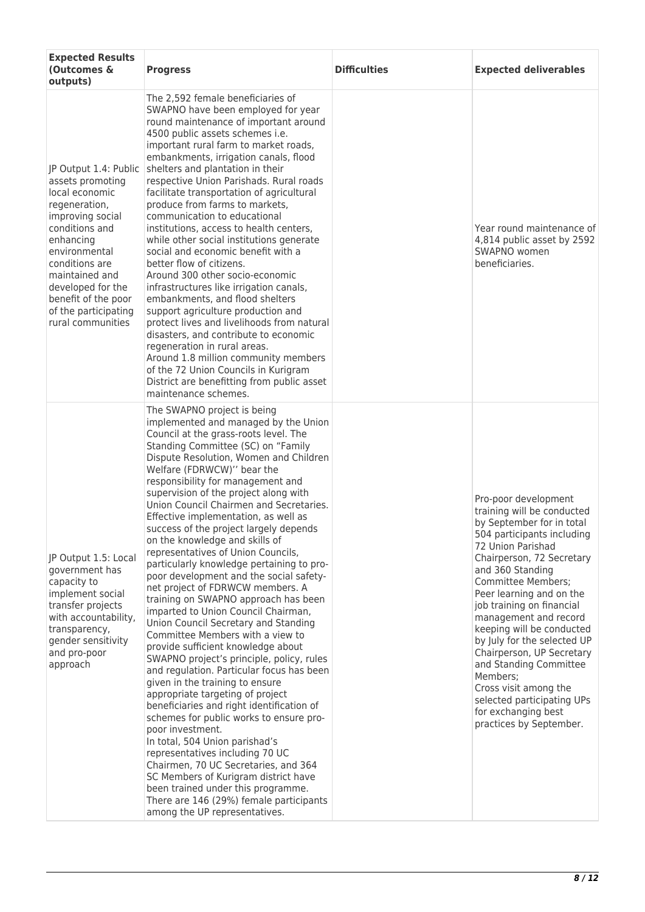| <b>Expected Results</b><br>(Outcomes &<br>outputs)                                                                                                                                                                                                                            | <b>Progress</b>                                                                                                                                                                                                                                                                                                                                                                                                                                                                                                                                                                                                                                                                                                                                                                                                                                                                                                                                                                                                                                                                                                                                                                                                                                                                                                                                                                                | <b>Difficulties</b> | <b>Expected deliverables</b>                                                                                                                                                                                                                                                                                                                                                                                                                                                                                                               |
|-------------------------------------------------------------------------------------------------------------------------------------------------------------------------------------------------------------------------------------------------------------------------------|------------------------------------------------------------------------------------------------------------------------------------------------------------------------------------------------------------------------------------------------------------------------------------------------------------------------------------------------------------------------------------------------------------------------------------------------------------------------------------------------------------------------------------------------------------------------------------------------------------------------------------------------------------------------------------------------------------------------------------------------------------------------------------------------------------------------------------------------------------------------------------------------------------------------------------------------------------------------------------------------------------------------------------------------------------------------------------------------------------------------------------------------------------------------------------------------------------------------------------------------------------------------------------------------------------------------------------------------------------------------------------------------|---------------------|--------------------------------------------------------------------------------------------------------------------------------------------------------------------------------------------------------------------------------------------------------------------------------------------------------------------------------------------------------------------------------------------------------------------------------------------------------------------------------------------------------------------------------------------|
| JP Output 1.4: Public<br>assets promoting<br>local economic<br>regeneration,<br>improving social<br>conditions and<br>enhancing<br>environmental<br>conditions are<br>maintained and<br>developed for the<br>benefit of the poor<br>of the participating<br>rural communities | The 2,592 female beneficiaries of<br>SWAPNO have been employed for year<br>round maintenance of important around<br>4500 public assets schemes i.e.<br>important rural farm to market roads,<br>embankments, irrigation canals, flood<br>shelters and plantation in their<br>respective Union Parishads. Rural roads<br>facilitate transportation of agricultural<br>produce from farms to markets,<br>communication to educational<br>institutions, access to health centers,<br>while other social institutions generate<br>social and economic benefit with a<br>better flow of citizens.<br>Around 300 other socio-economic<br>infrastructures like irrigation canals,<br>embankments, and flood shelters<br>support agriculture production and<br>protect lives and livelihoods from natural<br>disasters, and contribute to economic<br>regeneration in rural areas.<br>Around 1.8 million community members<br>of the 72 Union Councils in Kurigram<br>District are benefitting from public asset<br>maintenance schemes.                                                                                                                                                                                                                                                                                                                                                               |                     | Year round maintenance of<br>4,814 public asset by 2592<br>SWAPNO women<br>beneficiaries.                                                                                                                                                                                                                                                                                                                                                                                                                                                  |
| JP Output 1.5: Local<br>government has<br>capacity to<br>implement social<br>transfer projects<br>with accountability,<br>transparency,<br>gender sensitivity<br>and pro-poor<br>approach                                                                                     | The SWAPNO project is being<br>implemented and managed by the Union<br>Council at the grass-roots level. The<br>Standing Committee (SC) on "Family<br>Dispute Resolution, Women and Children<br>Welfare (FDRWCW)" bear the<br>responsibility for management and<br>supervision of the project along with<br>Union Council Chairmen and Secretaries.<br>Effective implementation, as well as<br>success of the project largely depends<br>on the knowledge and skills of<br>representatives of Union Councils,<br>particularly knowledge pertaining to pro-<br>poor development and the social safety-<br>net project of FDRWCW members. A<br>training on SWAPNO approach has been<br>imparted to Union Council Chairman,<br>Union Council Secretary and Standing<br>Committee Members with a view to<br>provide sufficient knowledge about<br>SWAPNO project's principle, policy, rules<br>and regulation. Particular focus has been<br>given in the training to ensure<br>appropriate targeting of project<br>beneficiaries and right identification of<br>schemes for public works to ensure pro-<br>poor investment.<br>In total, 504 Union parishad's<br>representatives including 70 UC<br>Chairmen, 70 UC Secretaries, and 364<br>SC Members of Kurigram district have<br>been trained under this programme.<br>There are 146 (29%) female participants<br>among the UP representatives. |                     | Pro-poor development<br>training will be conducted<br>by September for in total<br>504 participants including<br>72 Union Parishad<br>Chairperson, 72 Secretary<br>and 360 Standing<br><b>Committee Members;</b><br>Peer learning and on the<br>job training on financial<br>management and record<br>keeping will be conducted<br>by July for the selected UP<br>Chairperson, UP Secretary<br>and Standing Committee<br>Members;<br>Cross visit among the<br>selected participating UPs<br>for exchanging best<br>practices by September. |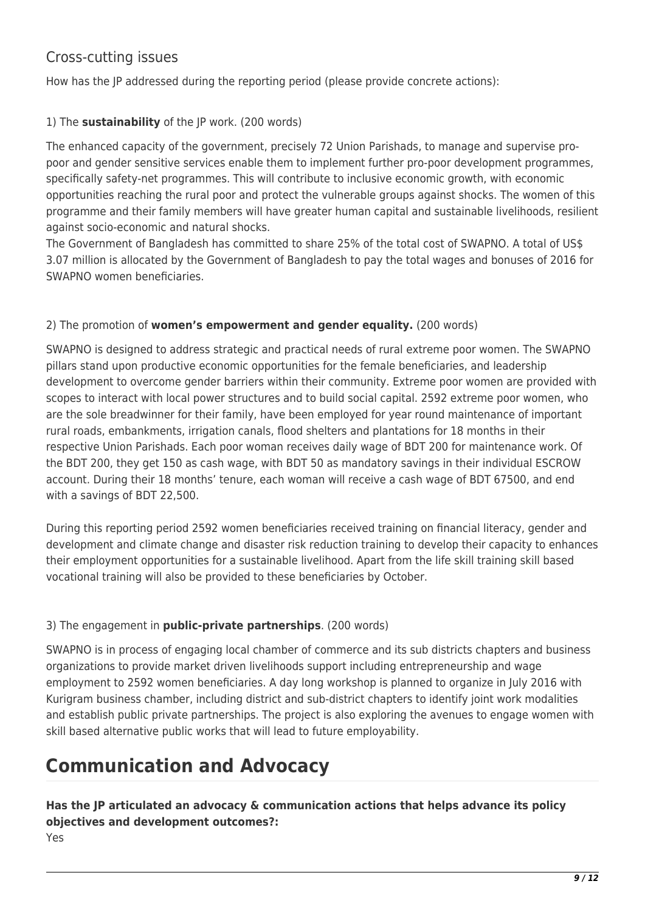## Cross-cutting issues

How has the JP addressed during the reporting period (please provide concrete actions):

### 1) The **sustainability** of the JP work. (200 words)

The enhanced capacity of the government, precisely 72 Union Parishads, to manage and supervise propoor and gender sensitive services enable them to implement further pro-poor development programmes, specifically safety-net programmes. This will contribute to inclusive economic growth, with economic opportunities reaching the rural poor and protect the vulnerable groups against shocks. The women of this programme and their family members will have greater human capital and sustainable livelihoods, resilient against socio-economic and natural shocks.

The Government of Bangladesh has committed to share 25% of the total cost of SWAPNO. A total of US\$ 3.07 million is allocated by the Government of Bangladesh to pay the total wages and bonuses of 2016 for SWAPNO women beneficiaries.

### 2) The promotion of **women's empowerment and gender equality.** (200 words)

SWAPNO is designed to address strategic and practical needs of rural extreme poor women. The SWAPNO pillars stand upon productive economic opportunities for the female beneficiaries, and leadership development to overcome gender barriers within their community. Extreme poor women are provided with scopes to interact with local power structures and to build social capital. 2592 extreme poor women, who are the sole breadwinner for their family, have been employed for year round maintenance of important rural roads, embankments, irrigation canals, flood shelters and plantations for 18 months in their respective Union Parishads. Each poor woman receives daily wage of BDT 200 for maintenance work. Of the BDT 200, they get 150 as cash wage, with BDT 50 as mandatory savings in their individual ESCROW account. During their 18 months' tenure, each woman will receive a cash wage of BDT 67500, and end with a savings of BDT 22,500.

During this reporting period 2592 women beneficiaries received training on financial literacy, gender and development and climate change and disaster risk reduction training to develop their capacity to enhances their employment opportunities for a sustainable livelihood. Apart from the life skill training skill based vocational training will also be provided to these beneficiaries by October.

### 3) The engagement in **public-private partnerships**. (200 words)

SWAPNO is in process of engaging local chamber of commerce and its sub districts chapters and business organizations to provide market driven livelihoods support including entrepreneurship and wage employment to 2592 women beneficiaries. A day long workshop is planned to organize in July 2016 with Kurigram business chamber, including district and sub-district chapters to identify joint work modalities and establish public private partnerships. The project is also exploring the avenues to engage women with skill based alternative public works that will lead to future employability.

# **Communication and Advocacy**

### **Has the JP articulated an advocacy & communication actions that helps advance its policy objectives and development outcomes?:**  Yes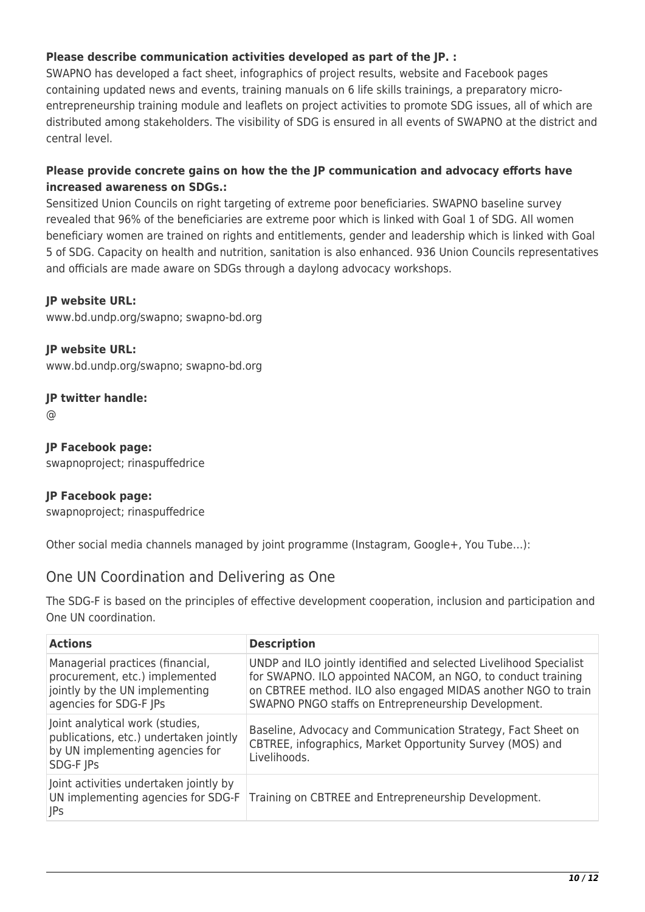### **Please describe communication activities developed as part of the JP. :**

SWAPNO has developed a fact sheet, infographics of project results, website and Facebook pages containing updated news and events, training manuals on 6 life skills trainings, a preparatory microentrepreneurship training module and leaflets on project activities to promote SDG issues, all of which are distributed among stakeholders. The visibility of SDG is ensured in all events of SWAPNO at the district and central level.

### **Please provide concrete gains on how the the JP communication and advocacy efforts have increased awareness on SDGs.:**

Sensitized Union Councils on right targeting of extreme poor beneficiaries. SWAPNO baseline survey revealed that 96% of the beneficiaries are extreme poor which is linked with Goal 1 of SDG. All women beneficiary women are trained on rights and entitlements, gender and leadership which is linked with Goal 5 of SDG. Capacity on health and nutrition, sanitation is also enhanced. 936 Union Councils representatives and officials are made aware on SDGs through a daylong advocacy workshops.

### **JP website URL:**

www.bd.undp.org/swapno; swapno-bd.org

**JP website URL:**  www.bd.undp.org/swapno; swapno-bd.org

### **JP twitter handle:**

@

**JP Facebook page:** 

swapnoproject; rinaspuffedrice

### **JP Facebook page:**

swapnoproject; rinaspuffedrice

Other social media channels managed by joint programme (Instagram, Google+, You Tube…):

### One UN Coordination and Delivering as One

The SDG-F is based on the principles of effective development cooperation, inclusion and participation and One UN coordination.

| <b>Actions</b>                                                                                                                 | <b>Description</b>                                                                                                                                                                                                                                         |
|--------------------------------------------------------------------------------------------------------------------------------|------------------------------------------------------------------------------------------------------------------------------------------------------------------------------------------------------------------------------------------------------------|
| Managerial practices (financial,<br>procurement, etc.) implemented<br>jointly by the UN implementing<br>agencies for SDG-F JPs | UNDP and ILO jointly identified and selected Livelihood Specialist<br>for SWAPNO. ILO appointed NACOM, an NGO, to conduct training<br>on CBTREE method. ILO also engaged MIDAS another NGO to train<br>SWAPNO PNGO staffs on Entrepreneurship Development. |
| Joint analytical work (studies,<br>publications, etc.) undertaken jointly<br>by UN implementing agencies for<br>SDG-F JPs      | Baseline, Advocacy and Communication Strategy, Fact Sheet on<br>CBTREE, infographics, Market Opportunity Survey (MOS) and<br>Livelihoods.                                                                                                                  |
| Joint activities undertaken jointly by<br>UN implementing agencies for SDG-F<br> JPs                                           | Training on CBTREE and Entrepreneurship Development.                                                                                                                                                                                                       |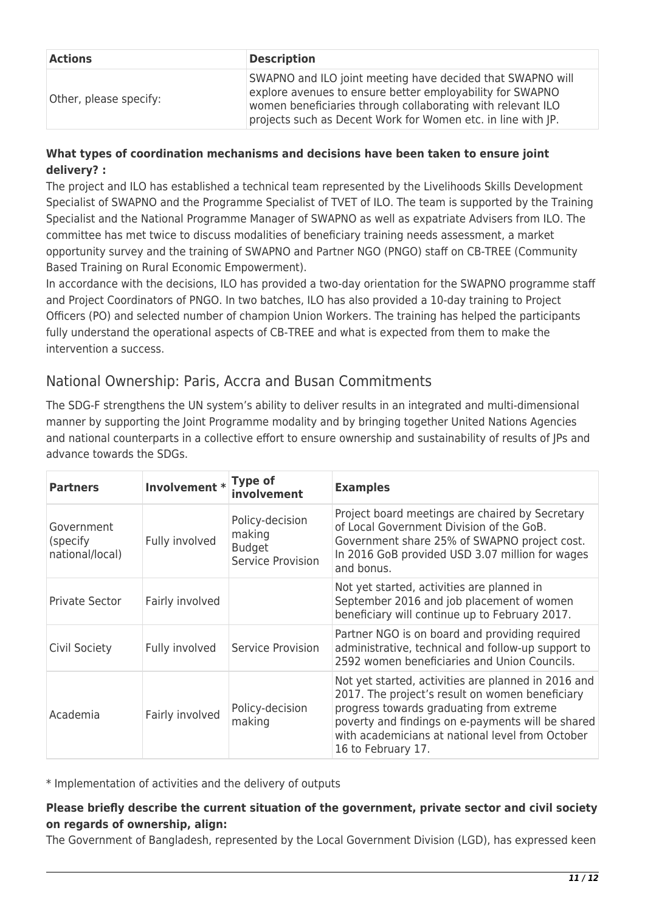| <b>Actions</b>         | <b>Description</b>                                                                                                                                                                                                                                     |
|------------------------|--------------------------------------------------------------------------------------------------------------------------------------------------------------------------------------------------------------------------------------------------------|
| Other, please specify: | SWAPNO and ILO joint meeting have decided that SWAPNO will<br>explore avenues to ensure better employability for SWAPNO<br>women beneficiaries through collaborating with relevant ILO<br>projects such as Decent Work for Women etc. in line with JP. |

### **What types of coordination mechanisms and decisions have been taken to ensure joint delivery? :**

The project and ILO has established a technical team represented by the Livelihoods Skills Development Specialist of SWAPNO and the Programme Specialist of TVET of ILO. The team is supported by the Training Specialist and the National Programme Manager of SWAPNO as well as expatriate Advisers from ILO. The committee has met twice to discuss modalities of beneficiary training needs assessment, a market opportunity survey and the training of SWAPNO and Partner NGO (PNGO) staff on CB-TREE (Community Based Training on Rural Economic Empowerment).

In accordance with the decisions, ILO has provided a two-day orientation for the SWAPNO programme staff and Project Coordinators of PNGO. In two batches, ILO has also provided a 10-day training to Project Officers (PO) and selected number of champion Union Workers. The training has helped the participants fully understand the operational aspects of CB-TREE and what is expected from them to make the intervention a success.

### National Ownership: Paris, Accra and Busan Commitments

The SDG-F strengthens the UN system's ability to deliver results in an integrated and multi-dimensional manner by supporting the Joint Programme modality and by bringing together United Nations Agencies and national counterparts in a collective effort to ensure ownership and sustainability of results of JPs and advance towards the SDGs.

| <b>Partners</b>                           | Involvement * Type of | involvement                                                     | <b>Examples</b>                                                                                                                                                                                                                                                                   |
|-------------------------------------------|-----------------------|-----------------------------------------------------------------|-----------------------------------------------------------------------------------------------------------------------------------------------------------------------------------------------------------------------------------------------------------------------------------|
| Government<br>(specify<br>national/local) | Fully involved        | Policy-decision<br>making<br><b>Budget</b><br>Service Provision | Project board meetings are chaired by Secretary<br>of Local Government Division of the GoB.<br>Government share 25% of SWAPNO project cost.<br>In 2016 GoB provided USD 3.07 million for wages<br>and bonus.                                                                      |
| <b>Private Sector</b>                     | Fairly involved       |                                                                 | Not yet started, activities are planned in<br>September 2016 and job placement of women<br>beneficiary will continue up to February 2017.                                                                                                                                         |
| Civil Society                             | Fully involved        | Service Provision                                               | Partner NGO is on board and providing required<br>administrative, technical and follow-up support to<br>2592 women beneficiaries and Union Councils.                                                                                                                              |
| Academia                                  | Fairly involved       | Policy-decision<br>making                                       | Not yet started, activities are planned in 2016 and<br>2017. The project's result on women beneficiary<br>progress towards graduating from extreme<br>poverty and findings on e-payments will be shared<br>with academicians at national level from October<br>16 to February 17. |

\* Implementation of activities and the delivery of outputs

### **Please briefly describe the current situation of the government, private sector and civil society on regards of ownership, align:**

The Government of Bangladesh, represented by the Local Government Division (LGD), has expressed keen